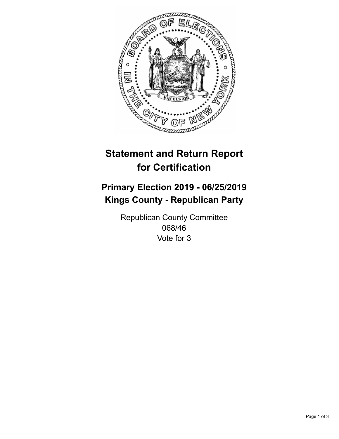

## **Statement and Return Report for Certification**

## **Primary Election 2019 - 06/25/2019 Kings County - Republican Party**

Republican County Committee 068/46 Vote for 3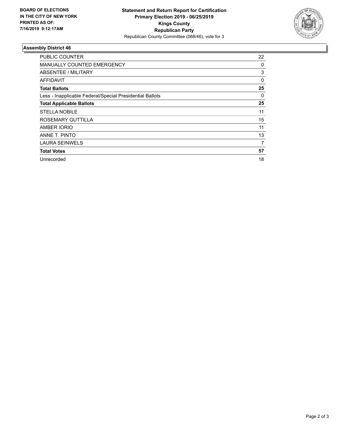

## **Assembly District 46**

| <b>PUBLIC COUNTER</b>                                    | 22 |
|----------------------------------------------------------|----|
| <b>MANUALLY COUNTED EMERGENCY</b>                        | 0  |
| ABSENTEE / MILITARY                                      | 3  |
| AFFIDAVIT                                                | 0  |
| <b>Total Ballots</b>                                     | 25 |
| Less - Inapplicable Federal/Special Presidential Ballots | 0  |
| <b>Total Applicable Ballots</b>                          | 25 |
| <b>STELLA NOBILE</b>                                     | 11 |
| ROSEMARY GUTTILLA                                        | 15 |
| <b>AMBER IORIO</b>                                       | 11 |
| ANNE T. PINTO                                            | 13 |
| <b>LAURA SEINWELS</b>                                    | 7  |
| <b>Total Votes</b>                                       | 57 |
| Unrecorded                                               | 18 |